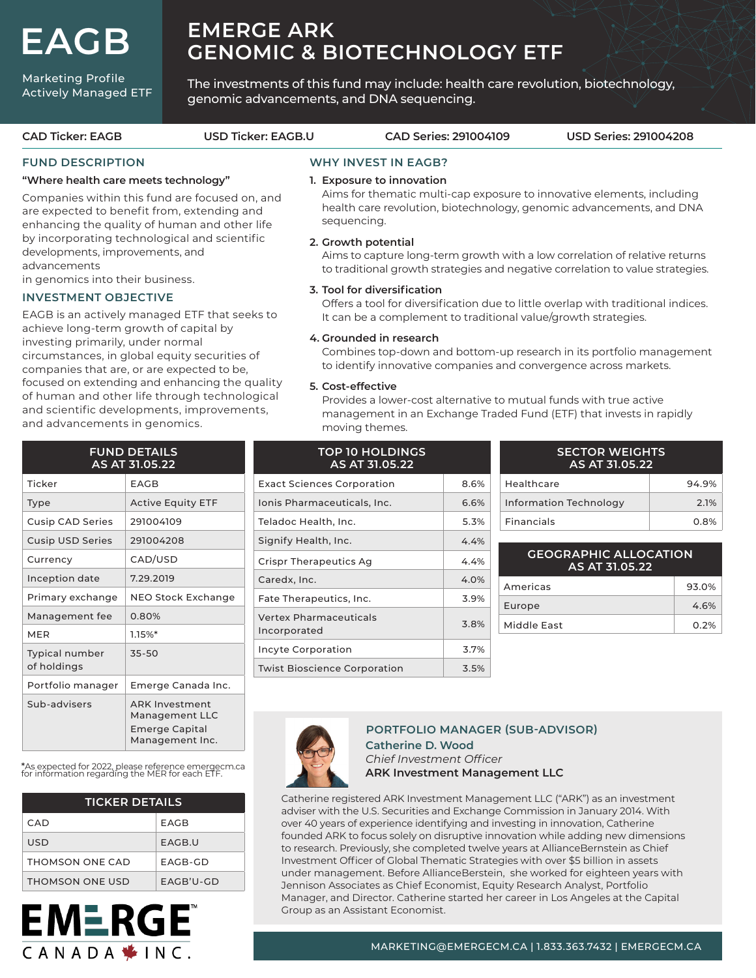**EAGB**

#### Marketing Profile Actively Managed ETF

# **EMERGE ARK GENOMIC & BIOTECHNOLOGY ETF**

The investments of this fund may include: health care revolution, biotechnology, genomic advancements, and DNA sequencing.

## **FUND DESCRIPTION**

#### **"Where health care meets technology"**

Companies within this fund are focused on, and are expected to benefit from, extending and enhancing the quality of human and other life by incorporating technological and scientific developments, improvements, and advancements

in genomics into their business.

#### **INVESTMENT OBJECTIVE**

EAGB is an actively managed ETF that seeks to achieve long-term growth of capital by investing primarily, under normal circumstances, in global equity securities of companies that are, or are expected to be, focused on extending and enhancing the quality of human and other life through technological and scientific developments, improvements, and advancements in genomics.

## **WHY INVEST IN EAGB?**

#### **1. Exposure to innovation**

 Aims for thematic multi-cap exposure to innovative elements, including health care revolution, biotechnology, genomic advancements, and DNA sequencing.

#### **2. Growth potential**

 Aims to capture long-term growth with a low correlation of relative returns to traditional growth strategies and negative correlation to value strategies.

#### **3. Tool for diversification**

 Offers a tool for diversification due to little overlap with traditional indices. It can be a complement to traditional value/growth strategies.

#### **4. Grounded in research**

**TOP 10 HOLDINGS**

 Combines top-down and bottom-up research in its portfolio management to identify innovative companies and convergence across markets.

#### **5. Cost-effective**

 Provides a lower-cost alternative to mutual funds with true active management in an Exchange Traded Fund (ETF) that invests in rapidly moving themes.

| <b>FUND DETAILS</b><br>AS AT 31.05.22 |                                                                              |  |  |  |  |
|---------------------------------------|------------------------------------------------------------------------------|--|--|--|--|
| Ticker                                | EAGB                                                                         |  |  |  |  |
| Type                                  | <b>Active Equity ETF</b>                                                     |  |  |  |  |
| <b>Cusip CAD Series</b>               | 291004109                                                                    |  |  |  |  |
| <b>Cusip USD Series</b>               | 291004208                                                                    |  |  |  |  |
| Currency                              | CAD/USD                                                                      |  |  |  |  |
| Inception date                        | 7.29.2019                                                                    |  |  |  |  |
| Primary exchange                      | NEO Stock Exchange                                                           |  |  |  |  |
| Management fee                        | 0.80%                                                                        |  |  |  |  |
| <b>MER</b>                            | 1.15%                                                                        |  |  |  |  |
| <b>Typical number</b><br>of holdings  | 35-50                                                                        |  |  |  |  |
| Portfolio manager                     | Emerge Canada Inc.                                                           |  |  |  |  |
| Sub-advisers                          | <b>ARK Investment</b><br>Management LLC<br>Emerge Capital<br>Management Inc. |  |  |  |  |

\*As expected for 2022, please reference emergecm.ca for information regarding the MER for each ETF.

| <b>TICKER DETAILS</b> |             |  |  |  |
|-----------------------|-------------|--|--|--|
| CAD                   | FAGB        |  |  |  |
| USD                   | FAGB.U      |  |  |  |
| THOMSON ONE CAD       | FAGB-GD     |  |  |  |
| THOMSON ONE USD       | $FAGB'U-GD$ |  |  |  |



| AS AT 31.05.22                                |      |
|-----------------------------------------------|------|
| <b>Exact Sciences Corporation</b>             | 8.6% |
| Ionis Pharmaceuticals, Inc.                   | 6.6% |
| Teladoc Health, Inc.                          | 5.3% |
| Signify Health, Inc.                          | 4.4% |
| Crispr Therapeutics Ag                        | 4.4% |
| Caredx, Inc.                                  | 4.0% |
| Fate Therapeutics, Inc.                       | 3.9% |
| <b>Vertex Pharmaceuticals</b><br>Incorporated | 3.8% |
| Incyte Corporation                            | 3.7% |
| <b>Twist Bioscience Corporation</b>           | 3.5% |

| <b>SECTOR WEIGHTS</b><br>AS AT 31.05.22 |         |  |  |  |
|-----------------------------------------|---------|--|--|--|
| Healthcare                              | 94.9%   |  |  |  |
| Information Technology                  | 2.1%    |  |  |  |
| <b>Financials</b>                       | $0.8\%$ |  |  |  |

## **GEOGRAPHIC ALLOCATION AS AT 31.05.22** Americas 93.0%

| Americas    | 93.0% |
|-------------|-------|
| Europe      | 4.6%  |
| Middle East | 0.2%  |
|             |       |



## **PORTFOLIO MANAGER (SUB-ADVISOR)**

**Catherine D. Wood**  *Chief Investment Officer* **ARK Investment Management LLC**

Catherine registered ARK Investment Management LLC ("ARK") as an investment adviser with the U.S. Securities and Exchange Commission in January 2014. With over 40 years of experience identifying and investing in innovation, Catherine founded ARK to focus solely on disruptive innovation while adding new dimensions to research. Previously, she completed twelve years at AllianceBernstein as Chief Investment Officer of Global Thematic Strategies with over \$5 billion in assets under management. Before AllianceBerstein, she worked for eighteen years with Jennison Associates as Chief Economist, Equity Research Analyst, Portfolio Manager, and Director. Catherine started her career in Los Angeles at the Capital Group as an Assistant Economist.

**CAD Ticker: EAGB USD Ticker: EAGB.U CAD Series: 291004109 USD Series: 291004208**